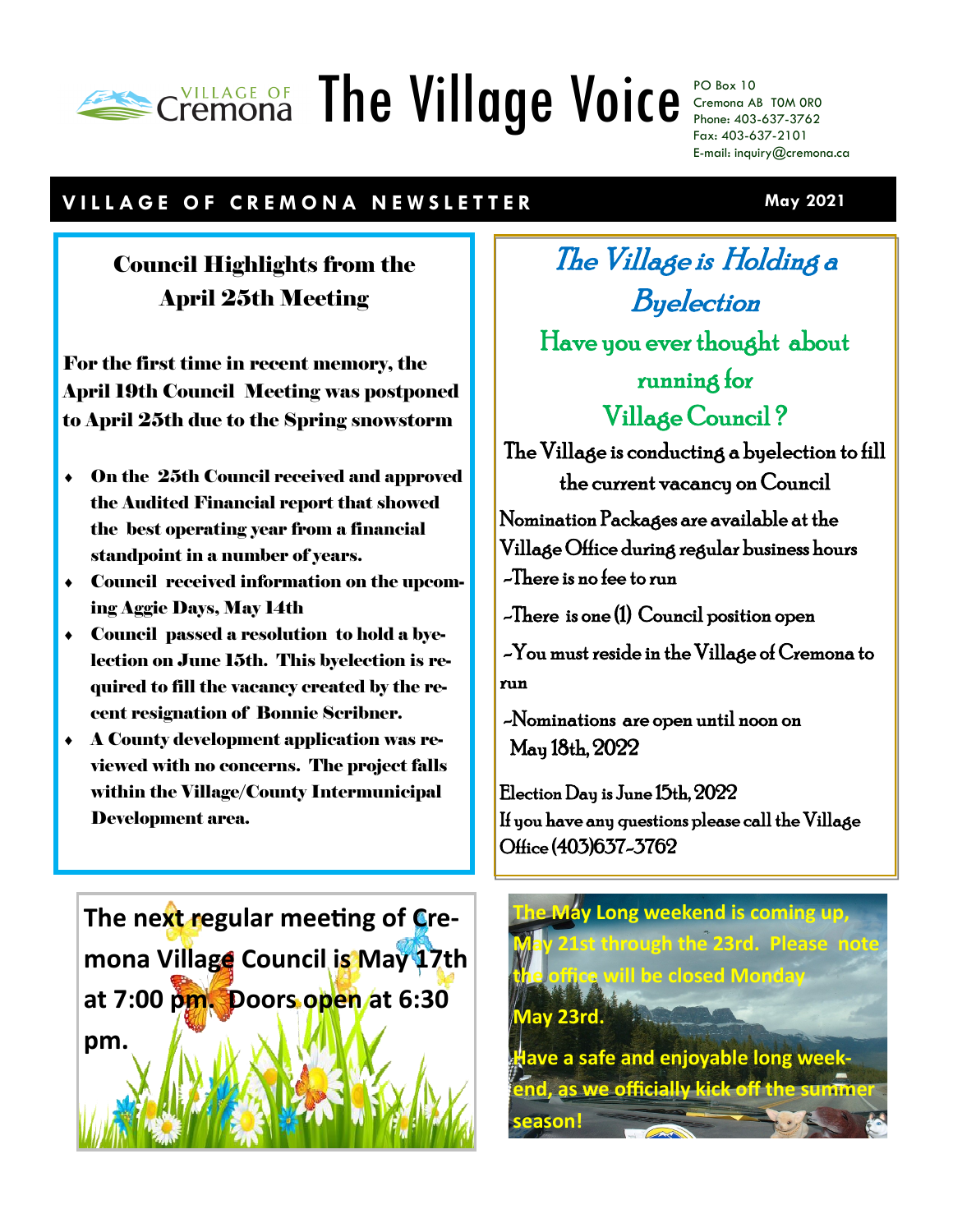# Cremona The Village Voice PO Box 10

Cremona AB T0M 0R0 Phone: 403-637-3762 Fax: 403-637-2101 E-mail: inquiry@cremona.ca

## **V I L L A G E O F C R E M O N A N E W S L E T T E R**

# Council Highlights from the April 25th Meeting

For the first time in recent memory, the April 19th Council Meeting was postponed to April 25th due to the Spring snowstorm

- On the 25th Council received and approved the Audited Financial report that showed the best operating year from a financial standpoint in a number of years.
- Council received information on the upcoming Aggie Days, May 14th
- Council passed a resolution to hold a byelection on June 15th. This byelection is required to fill the vacancy created by the recent resignation of Bonnie Scribner.
- A County development application was reviewed with no concerns. The project falls within the Village/County Intermunicipal Development area.

**The next regular meeting of Cremona Village Council is May 17th at 7:00 pm. Doors open at 6:30 pm.**

The Village is Holding a Byelection Have you ever thought about running for Village Council ?

The Village is conducting a byelection to fill the current vacancy on Council

Nomination Packages are available at the Village Office during regular business hours -There is no fee to run

-There is one (1) Council position open

 -You must reside in the Village of Cremona to run

 -Nominations are open until noon on May 18th, 2022

Election Day is June 15th, 2022 If you have any questions please call the Village Office (403)637-3762



**May 2021**